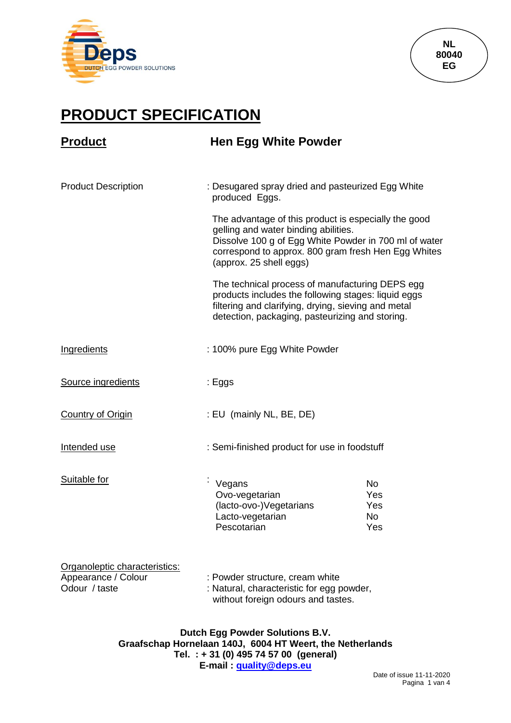



## **PRODUCT SPECIFICATION**

| <b>Product</b>                                                        | <b>Hen Egg White Powder</b>                                                                                                                                                                                                                                                                                                                                                                                                                                 |                                      |  |
|-----------------------------------------------------------------------|-------------------------------------------------------------------------------------------------------------------------------------------------------------------------------------------------------------------------------------------------------------------------------------------------------------------------------------------------------------------------------------------------------------------------------------------------------------|--------------------------------------|--|
| <b>Product Description</b>                                            | : Desugared spray dried and pasteurized Egg White<br>produced Eggs.                                                                                                                                                                                                                                                                                                                                                                                         |                                      |  |
|                                                                       | The advantage of this product is especially the good<br>gelling and water binding abilities.<br>Dissolve 100 g of Egg White Powder in 700 ml of water<br>correspond to approx. 800 gram fresh Hen Egg Whites<br>(approx. 25 shell eggs)<br>The technical process of manufacturing DEPS egg<br>products includes the following stages: liquid eggs<br>filtering and clarifying, drying, sieving and metal<br>detection, packaging, pasteurizing and storing. |                                      |  |
|                                                                       |                                                                                                                                                                                                                                                                                                                                                                                                                                                             |                                      |  |
| <b>Ingredients</b>                                                    | : 100% pure Egg White Powder                                                                                                                                                                                                                                                                                                                                                                                                                                |                                      |  |
| Source ingredients                                                    | : Eggs                                                                                                                                                                                                                                                                                                                                                                                                                                                      |                                      |  |
| <b>Country of Origin</b>                                              | : EU (mainly NL, BE, DE)                                                                                                                                                                                                                                                                                                                                                                                                                                    |                                      |  |
| Intended use                                                          | : Semi-finished product for use in foodstuff                                                                                                                                                                                                                                                                                                                                                                                                                |                                      |  |
| Suitable for                                                          | Vegans<br>Ovo-vegetarian<br>(lacto-ovo-)Vegetarians<br>Lacto-vegetarian<br>Pescotarian                                                                                                                                                                                                                                                                                                                                                                      | <b>No</b><br>Yes<br>Yes<br>No<br>Yes |  |
| Organoleptic characteristics:<br>Appearance / Colour<br>Odour / taste | : Powder structure, cream white<br>: Natural, characteristic for egg powder,<br>without foreign odours and tastes.                                                                                                                                                                                                                                                                                                                                          |                                      |  |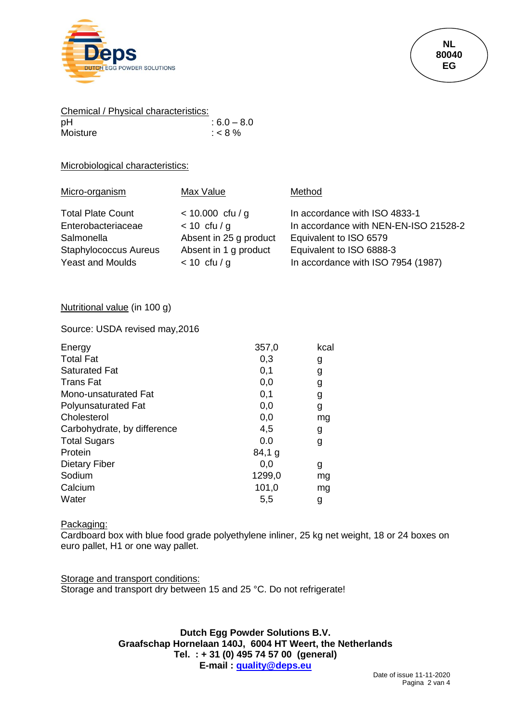

| Chemical / Physical characteristics: |              |
|--------------------------------------|--------------|
| рH                                   | $:6.0 - 8.0$ |
| Moisture                             | : < 8 %      |

## Microbiological characteristics:

| Micro-organism               | Max Value              | Method                                |
|------------------------------|------------------------|---------------------------------------|
| <b>Total Plate Count</b>     | $< 10.000$ cfu / g     | In accordance with ISO 4833-1         |
| Enterobacteriaceae           | $< 10$ cfu / g         | In accordance with NEN-EN-ISO 21528-2 |
| Salmonella                   | Absent in 25 g product | Equivalent to ISO 6579                |
| <b>Staphylococcus Aureus</b> | Absent in 1 g product  | Equivalent to ISO 6888-3              |
| <b>Yeast and Moulds</b>      | $< 10$ cfu / g         | In accordance with ISO 7954 (1987)    |

## Nutritional value (in 100 g)

Source: USDA revised may,2016

| Energy                      | 357,0    | kcal |
|-----------------------------|----------|------|
| <b>Total Fat</b>            | 0,3      | g    |
| <b>Saturated Fat</b>        | 0,1      | g    |
| <b>Trans Fat</b>            | 0,0      | g    |
| Mono-unsaturated Fat        | 0,1      | g    |
| <b>Polyunsaturated Fat</b>  | 0,0      | g    |
| Cholesterol                 | 0,0      | ma   |
| Carbohydrate, by difference | 4,5      | g    |
| <b>Total Sugars</b>         | 0.0      | g    |
| Protein                     | $84,1$ g |      |
| <b>Dietary Fiber</b>        | 0,0      | g    |
| Sodium                      | 1299,0   | mq   |
| Calcium                     | 101,0    | mq   |
| Water                       | 5,5      | g    |

## Packaging:

Cardboard box with blue food grade polyethylene inliner, 25 kg net weight, 18 or 24 boxes on euro pallet, H1 or one way pallet.

Storage and transport conditions: Storage and transport dry between 15 and 25 °C. Do not refrigerate!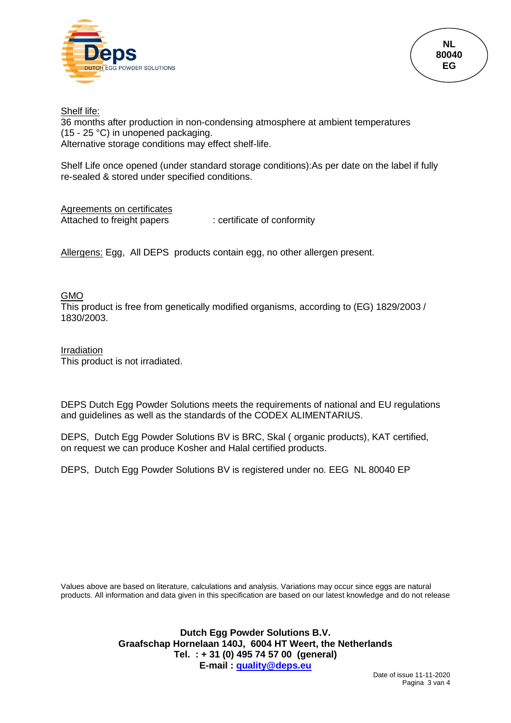

Shelf life: 36 months after production in non-condensing atmosphere at ambient temperatures (15 - 25 °C) in unopened packaging. Alternative storage conditions may effect shelf-life.

Shelf Life once opened (under standard storage conditions):As per date on the label if fully re-sealed & stored under specified conditions.

Agreements on certificates Attached to freight papers : certificate of conformity

Allergens: Egg, All DEPS products contain egg, no other allergen present.

GMO

This product is free from genetically modified organisms, according to (EG) 1829/2003 / 1830/2003.

Irradiation This product is not irradiated.

DEPS Dutch Egg Powder Solutions meets the requirements of national and EU regulations and guidelines as well as the standards of the CODEX ALIMENTARIUS.

DEPS, Dutch Egg Powder Solutions BV is BRC, Skal ( organic products), KAT certified, on request we can produce Kosher and Halal certified products.

DEPS, Dutch Egg Powder Solutions BV is registered under no. EEG NL 80040 EP

Values above are based on literature, calculations and analysis. Variations may occur since eggs are natural products. All information and data given in this specification are based on our latest knowledge and do not release